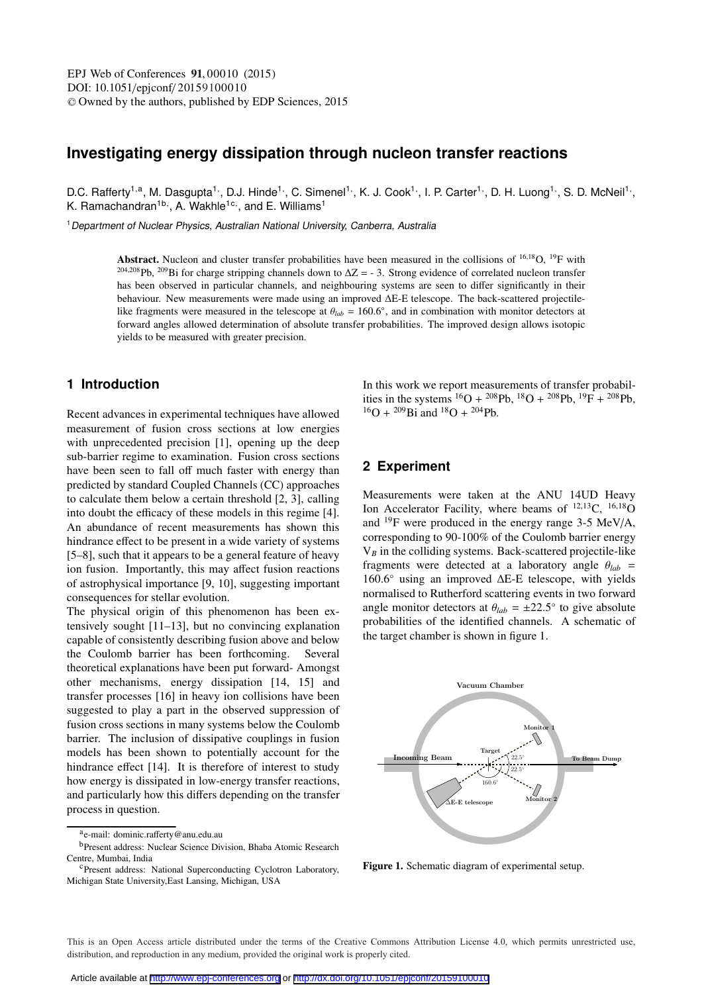# **Investigating energy dissipation through nucleon transfer reactions**

D.C. Rafferty<sup>1,a</sup>, M. Dasgupta<sup>1,</sup>, D.J. Hinde<sup>1,</sup>, C. Simenel<sup>1,</sup>, K. J. Cook<sup>1,</sup>, I. P. Carter<sup>1,</sup>, D. H. Luong<sup>1,</sup>, S. D. McNeil<sup>1,</sup>, K. Ramachandran $^{1b}$ , A. Wakhle $^{1c}$ , and E. Williams $^{1}$ 

<sup>1</sup> Department of Nuclear Physics, Australian National University, Canberra, Australia

Abstract. Nucleon and cluster transfer probabilities have been measured in the collisions of <sup>16,18</sup>O, <sup>19</sup>F with <sup>204,208</sup>Pb, <sup>209</sup>Bi for charge stripping channels down to  $\Delta Z = -3$ . Strong evidence of correlated nucleon transfer has been observed in particular channels, and neighbouring systems are seen to differ significantly in their behaviour. New measurements were made using an improved ΔE-E telescope. The back-scattered projectilelike fragments were measured in the telescope at  $\theta_{lab} = 160.6\degree$ , and in combination with monitor detectors at forward angles allowed determination of absolute transfer probabilities. The improved design allows isotopic yields to be measured with greater precision.

## **1 Introduction**

Recent advances in experimental techniques have allowed measurement of fusion cross sections at low energies with unprecedented precision [1], opening up the deep sub-barrier regime to examination. Fusion cross sections have been seen to fall off much faster with energy than predicted by standard Coupled Channels (CC) approaches to calculate them below a certain threshold [2, 3], calling into doubt the efficacy of these models in this regime [4]. An abundance of recent measurements has shown this hindrance effect to be present in a wide variety of systems [5–8], such that it appears to be a general feature of heavy ion fusion. Importantly, this may affect fusion reactions of astrophysical importance [9, 10], suggesting important consequences for stellar evolution.

The physical origin of this phenomenon has been extensively sought [11–13], but no convincing explanation capable of consistently describing fusion above and below the Coulomb barrier has been forthcoming. Several theoretical explanations have been put forward- Amongst other mechanisms, energy dissipation [14, 15] and transfer processes [16] in heavy ion collisions have been suggested to play a part in the observed suppression of fusion cross sections in many systems below the Coulomb barrier. The inclusion of dissipative couplings in fusion models has been shown to potentially account for the hindrance effect [14]. It is therefore of interest to study how energy is dissipated in low-energy transfer reactions, and particularly how this differs depending on the transfer process in question.

In this work we report measurements of transfer probabilities in the systems  ${}^{16}O + {}^{208}Pb$ ,  ${}^{18}O + {}^{208}Pb$ ,  ${}^{19}F + {}^{208}Pb$ ,  $^{16}O + {^{209}Bi}$  and  $^{18}O + {^{204}Pb}$ .

## **2 Experiment**

Measurements were taken at the ANU 14UD Heavy Ion Accelerator Facility, where beams of  $^{12,13}$ C,  $^{16,18}$ O and  $^{19}$ F were produced in the energy range 3-5 MeV/A, corresponding to 90-100% of the Coulomb barrier energy V*<sup>B</sup>* in the colliding systems. Back-scattered projectile-like fragments were detected at a laboratory angle  $\theta_{lab}$  =  $160.6°$  using an improved  $ΔE-E$  telescope, with yields normalised to Rutherford scattering events in two forward angle monitor detectors at  $\theta_{lab} = \pm 22.5^\circ$  to give absolute probabilities of the identified channels. A schematic of the target chamber is shown in figure 1.



**Figure 1.** Schematic diagram of experimental setup.

This is an Open Access article distributed under the terms of the Creative Commons Attribution License 4.0, which permits unrestricted use. distribution, and reproduction in any medium, provided the original work is properly cited.

ae-mail: dominic.rafferty@anu.edu.au

bPresent address: Nuclear Science Division, Bhaba Atomic Research

<sup>&</sup>lt;sup>c</sup>Present address: National Superconducting Cyclotron Laboratory, Michigan State University,East Lansing, Michigan, USA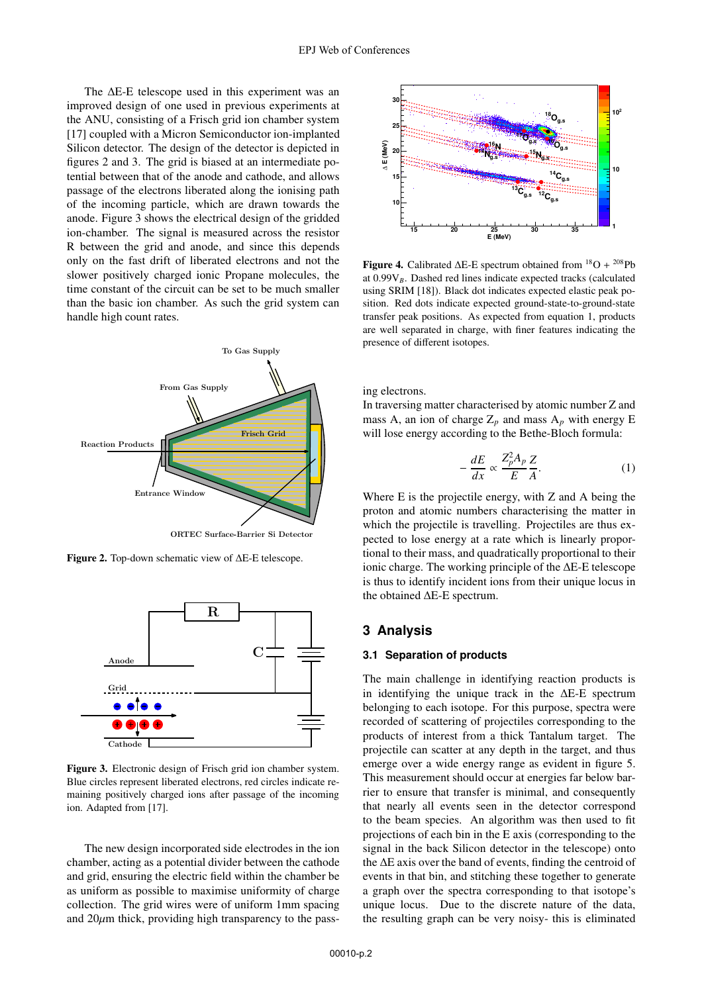The ΔE-E telescope used in this experiment was an improved design of one used in previous experiments at the ANU, consisting of a Frisch grid ion chamber system [17] coupled with a Micron Semiconductor ion-implanted Silicon detector. The design of the detector is depicted in figures 2 and 3. The grid is biased at an intermediate potential between that of the anode and cathode, and allows passage of the electrons liberated along the ionising path of the incoming particle, which are drawn towards the anode. Figure 3 shows the electrical design of the gridded ion-chamber. The signal is measured across the resistor R between the grid and anode, and since this depends only on the fast drift of liberated electrons and not the slower positively charged ionic Propane molecules, the time constant of the circuit can be set to be much smaller than the basic ion chamber. As such the grid system can handle high count rates.



**Figure 2.** Top-down schematic view of ΔE-E telescope.



**Figure 3.** Electronic design of Frisch grid ion chamber system. Blue circles represent liberated electrons, red circles indicate remaining positively charged ions after passage of the incoming ion. Adapted from [17].

The new design incorporated side electrodes in the ion chamber, acting as a potential divider between the cathode and grid, ensuring the electric field within the chamber be as uniform as possible to maximise uniformity of charge collection. The grid wires were of uniform 1mm spacing and  $20\mu$ m thick, providing high transparency to the pass-



**Figure 4.** Calibrated  $\Delta E$ -E spectrum obtained from  $^{18}O + ^{208}Pb$ at 0.99V*B*. Dashed red lines indicate expected tracks (calculated using SRIM [18]). Black dot indicates expected elastic peak position. Red dots indicate expected ground-state-to-ground-state transfer peak positions. As expected from equation 1, products are well separated in charge, with finer features indicating the presence of different isotopes.

ing electrons.

In traversing matter characterised by atomic number Z and mass A, an ion of charge  $Z_p$  and mass  $A_p$  with energy E will lose energy according to the Bethe-Bloch formula:

$$
-\frac{dE}{dx} \propto \frac{Z_p^2 A_p}{E} \frac{Z}{A}.
$$
 (1)

Where E is the projectile energy, with Z and A being the proton and atomic numbers characterising the matter in which the projectile is travelling. Projectiles are thus expected to lose energy at a rate which is linearly proportional to their mass, and quadratically proportional to their ionic charge. The working principle of the ΔE-E telescope is thus to identify incident ions from their unique locus in the obtained ΔE-E spectrum.

### **3 Analysis**

### **3.1 Separation of products**

The main challenge in identifying reaction products is in identifying the unique track in the  $\Delta E$ -E spectrum belonging to each isotope. For this purpose, spectra were recorded of scattering of projectiles corresponding to the products of interest from a thick Tantalum target. The projectile can scatter at any depth in the target, and thus emerge over a wide energy range as evident in figure 5. This measurement should occur at energies far below barrier to ensure that transfer is minimal, and consequently that nearly all events seen in the detector correspond to the beam species. An algorithm was then used to fit projections of each bin in the E axis (corresponding to the signal in the back Silicon detector in the telescope) onto the ΔE axis over the band of events, finding the centroid of events in that bin, and stitching these together to generate a graph over the spectra corresponding to that isotope's unique locus. Due to the discrete nature of the data, the resulting graph can be very noisy- this is eliminated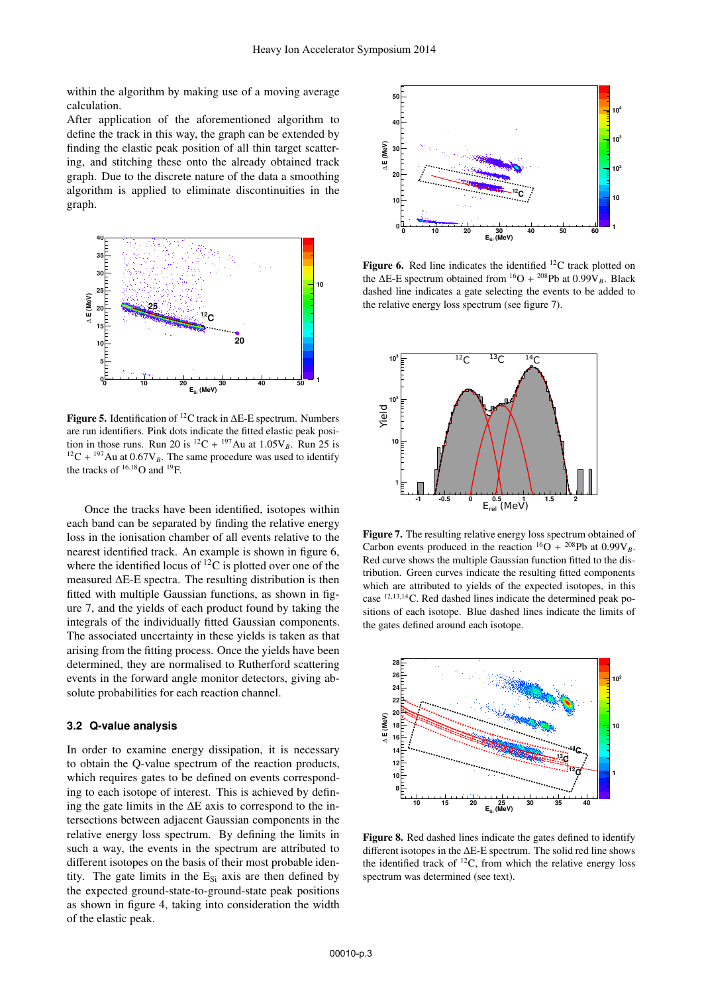within the algorithm by making use of a moving average calculation.

After application of the aforementioned algorithm to define the track in this way, the graph can be extended by finding the elastic peak position of all thin target scattering, and stitching these onto the already obtained track graph. Due to the discrete nature of the data a smoothing algorithm is applied to eliminate discontinuities in the graph.



**Figure 5.** Identification of 12C track in ΔE-E spectrum. Numbers are run identifiers. Pink dots indicate the fitted elastic peak position in those runs. Run 20 is <sup>12</sup>C + <sup>197</sup>Au at  $1.05V_B$ . Run 25 is  $12C + 197$  Au at 0.67V<sub>B</sub>. The same procedure was used to identify the tracks of  $^{16,18}$ O and  $^{19}$ F.

Once the tracks have been identified, isotopes within each band can be separated by finding the relative energy loss in the ionisation chamber of all events relative to the nearest identified track. An example is shown in figure 6, where the identified locus of  ${}^{12}C$  is plotted over one of the measured ΔE-E spectra. The resulting distribution is then fitted with multiple Gaussian functions, as shown in figure 7, and the yields of each product found by taking the integrals of the individually fitted Gaussian components. The associated uncertainty in these yields is taken as that arising from the fitting process. Once the yields have been determined, they are normalised to Rutherford scattering events in the forward angle monitor detectors, giving absolute probabilities for each reaction channel.

#### **3.2 Q-value analysis**

In order to examine energy dissipation, it is necessary to obtain the Q-value spectrum of the reaction products, which requires gates to be defined on events corresponding to each isotope of interest. This is achieved by defining the gate limits in the  $\Delta E$  axis to correspond to the intersections between adjacent Gaussian components in the relative energy loss spectrum. By defining the limits in such a way, the events in the spectrum are attributed to different isotopes on the basis of their most probable identity. The gate limits in the  $E_{Si}$  axis are then defined by the expected ground-state-to-ground-state peak positions as shown in figure 4, taking into consideration the width of the elastic peak.



**Figure 6.** Red line indicates the identified <sup>12</sup>C track plotted on the  $\Delta E$ -E spectrum obtained from <sup>16</sup>O + <sup>208</sup>Pb at 0.99 $V_B$ . Black dashed line indicates a gate selecting the events to be added to the relative energy loss spectrum (see figure 7).



**Figure 7.** The resulting relative energy loss spectrum obtained of Carbon events produced in the reaction  ${}^{16}O + {}^{208}Pb$  at 0.99V<sub>B</sub>. Red curve shows the multiple Gaussian function fitted to the distribution. Green curves indicate the resulting fitted components which are attributed to yields of the expected isotopes, in this case <sup>12</sup>,13,14C. Red dashed lines indicate the determined peak positions of each isotope. Blue dashed lines indicate the limits of the gates defined around each isotope.



**Figure 8.** Red dashed lines indicate the gates defined to identify different isotopes in the ΔE-E spectrum. The solid red line shows the identified track of  $^{12}C$ , from which the relative energy loss spectrum was determined (see text).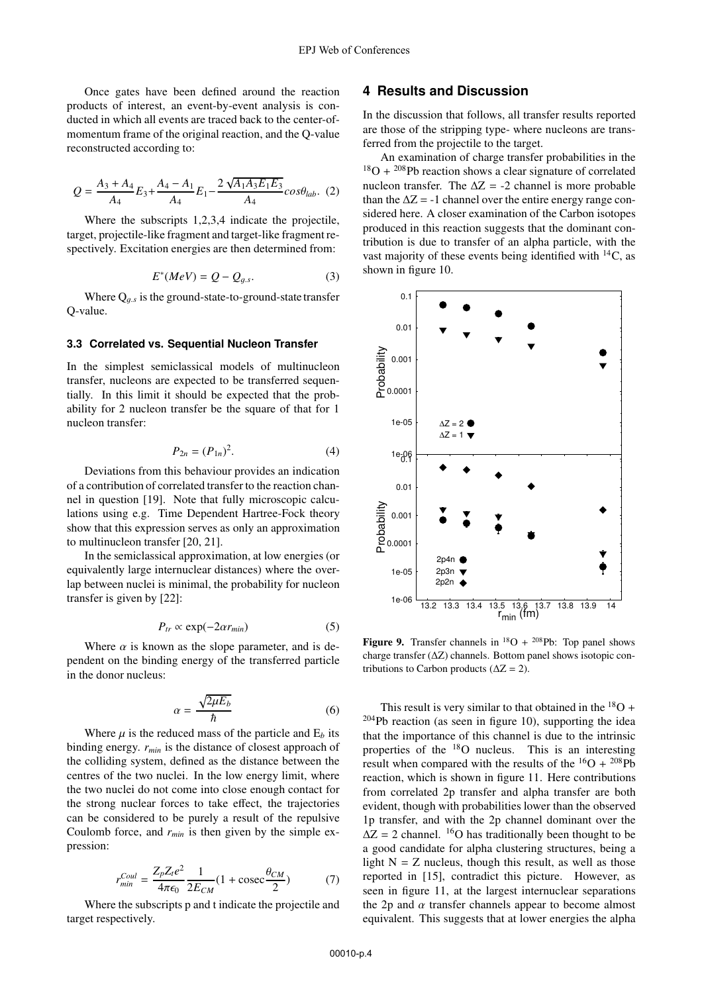Once gates have been defined around the reaction products of interest, an event-by-event analysis is conducted in which all events are traced back to the center-ofmomentum frame of the original reaction, and the Q-value reconstructed according to:

$$
Q = \frac{A_3 + A_4}{A_4} E_3 + \frac{A_4 - A_1}{A_4} E_1 - \frac{2 \sqrt{A_1 A_3 E_1 E_3}}{A_4} cos \theta_{lab}.
$$
 (2)

Where the subscripts 1,2,3,4 indicate the projectile, target, projectile-like fragment and target-like fragment respectively. Excitation energies are then determined from:

$$
E^*(MeV) = Q - Q_{g.s.} \tag{3}
$$

Where  $Q_{q,s}$  is the ground-state-to-ground-state transfer Q-value.

#### **3.3 Correlated vs. Sequential Nucleon Transfer**

In the simplest semiclassical models of multinucleon transfer, nucleons are expected to be transferred sequentially. In this limit it should be expected that the probability for 2 nucleon transfer be the square of that for 1 nucleon transfer:

$$
P_{2n} = (P_{1n})^2.
$$
 (4)

Deviations from this behaviour provides an indication of a contribution of correlated transfer to the reaction channel in question [19]. Note that fully microscopic calculations using e.g. Time Dependent Hartree-Fock theory show that this expression serves as only an approximation to multinucleon transfer [20, 21].

In the semiclassical approximation, at low energies (or equivalently large internuclear distances) where the overlap between nuclei is minimal, the probability for nucleon transfer is given by [22]:

$$
P_{tr} \propto \exp(-2\alpha r_{min}) \tag{5}
$$

Where  $\alpha$  is known as the slope parameter, and is dependent on the binding energy of the transferred particle in the donor nucleus:

$$
\alpha = \frac{\sqrt{2\mu E_b}}{\hbar} \tag{6}
$$

Where  $\mu$  is the reduced mass of the particle and  $E_b$  its binding energy. *rmin* is the distance of closest approach of the colliding system, defined as the distance between the centres of the two nuclei. In the low energy limit, where the two nuclei do not come into close enough contact for the strong nuclear forces to take effect, the trajectories can be considered to be purely a result of the repulsive Coulomb force, and  $r_{min}$  is then given by the simple expression:

$$
r_{min}^{Coul} = \frac{Z_p Z_t e^2}{4\pi\epsilon_0} \frac{1}{2E_{CM}} (1 + \text{cosec} \frac{\theta_{CM}}{2})
$$
 (7)

 $4\pi\epsilon_0$  2E<sub>CM</sub><sup>2</sup> 2<sup>2</sup> target respectively.

## **4 Results and Discussion**

In the discussion that follows, all transfer results reported are those of the stripping type- where nucleons are transferred from the projectile to the target.

An examination of charge transfer probabilities in the  $18$ O +  $208$ Pb reaction shows a clear signature of correlated nucleon transfer. The  $\Delta Z = -2$  channel is more probable than the  $\Delta Z = -1$  channel over the entire energy range considered here. A closer examination of the Carbon isotopes produced in this reaction suggests that the dominant contribution is due to transfer of an alpha particle, with the vast majority of these events being identified with  $^{14}$ C, as shown in figure 10.



**Figure 9.** Transfer channels in  $^{18}O + {}^{208}Pb$ : Top panel shows charge transfer (ΔZ) channels. Bottom panel shows isotopic contributions to Carbon products ( $\Delta Z = 2$ ).

This result is very similar to that obtained in the  $^{18}O$  + 204Pb reaction (as seen in figure 10), supporting the idea that the importance of this channel is due to the intrinsic properties of the  $18$ O nucleus. This is an interesting result when compared with the results of the  ${}^{16}O + {}^{208}Pb$ reaction, which is shown in figure 11. Here contributions from correlated 2p transfer and alpha transfer are both evident, though with probabilities lower than the observed 1p transfer, and with the 2p channel dominant over the  $\Delta Z = 2$  channel. <sup>16</sup>O has traditionally been thought to be a good candidate for alpha clustering structures, being a light  $N = Z$  nucleus, though this result, as well as those reported in [15], contradict this picture. However, as seen in figure 11, at the largest internuclear separations the 2p and  $\alpha$  transfer channels appear to become almost equivalent. This suggests that at lower energies the alpha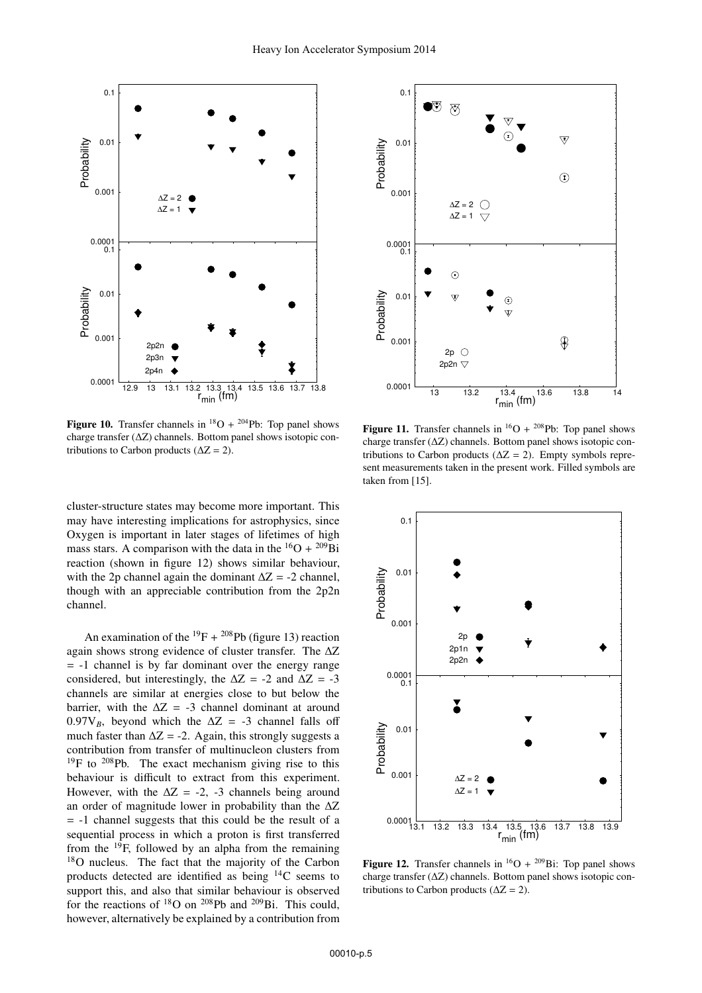

**Figure 10.** Transfer channels in  $^{18}O + ^{204}Pb$ : Top panel shows charge transfer (ΔZ) channels. Bottom panel shows isotopic contributions to Carbon products ( $\Delta Z = 2$ ).

cluster-structure states may become more important. This may have interesting implications for astrophysics, since Oxygen is important in later stages of lifetimes of high mass stars. A comparison with the data in the  ${}^{16}O + {}^{209}Bi$ reaction (shown in figure 12) shows similar behaviour, with the 2p channel again the dominant  $\Delta Z = -2$  channel, though with an appreciable contribution from the 2p2n channel.

An examination of the  $^{19}F + {}^{208}Pb$  (figure 13) reaction again shows strong evidence of cluster transfer. The ΔZ  $= -1$  channel is by far dominant over the energy range considered, but interestingly, the  $\Delta Z = -2$  and  $\Delta Z = -3$ channels are similar at energies close to but below the barrier, with the  $\Delta Z = -3$  channel dominant at around 0.97 $V_B$ , beyond which the  $\Delta Z = -3$  channel falls off much faster than  $\Delta Z = -2$ . Again, this strongly suggests a contribution from transfer of multinucleon clusters from <sup>19</sup>F to <sup>208</sup>Pb. The exact mechanism giving rise to this behaviour is difficult to extract from this experiment. However, with the  $\Delta Z = -2$ , -3 channels being around an order of magnitude lower in probability than the ΔZ  $= -1$  channel suggests that this could be the result of a sequential process in which a proton is first transferred from the  $^{19}$ F, followed by an alpha from the remaining 18O nucleus. The fact that the majority of the Carbon products detected are identified as being  $^{14}$ C seems to support this, and also that similar behaviour is observed for the reactions of  $^{18}$ O on  $^{208}$ Pb and  $^{209}$ Bi. This could, however, alternatively be explained by a contribution from



**Figure 11.** Transfer channels in  ${}^{16}O + {}^{208}Pb$ : Top panel shows charge transfer (ΔZ) channels. Bottom panel shows isotopic contributions to Carbon products ( $\Delta Z = 2$ ). Empty symbols represent measurements taken in the present work. Filled symbols are taken from [15].



**Figure 12.** Transfer channels in  ${}^{16}O + {}^{209}Bi$ : Top panel shows charge transfer (ΔZ) channels. Bottom panel shows isotopic contributions to Carbon products ( $\Delta Z = 2$ ).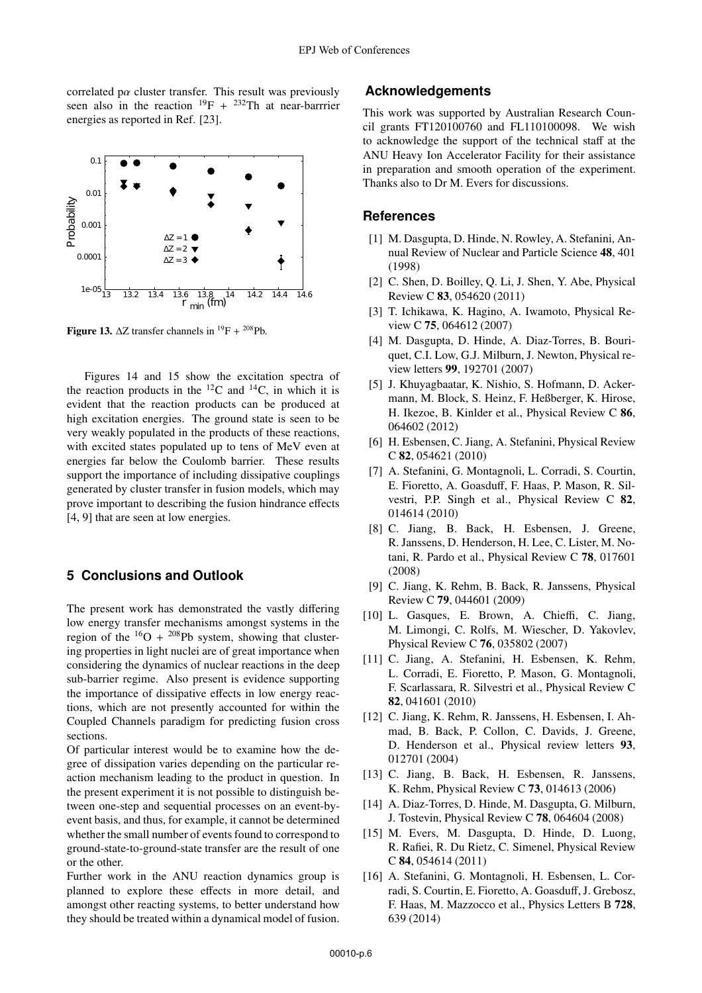correlated p $\alpha$  cluster transfer. This result was previously seen also in the reaction  $^{19}F + {}^{232}Th$  at near-barrrier energies as reported in Ref. [23].



**Figure 13.**  $\Delta Z$  transfer channels in <sup>19</sup>F + <sup>208</sup>Pb.

Figures 14 and 15 show the excitation spectra of the reaction products in the  ${}^{12}C$  and  ${}^{14}C$ , in which it is evident that the reaction products can be produced at high excitation energies. The ground state is seen to be very weakly populated in the products of these reactions, with excited states populated up to tens of MeV even at energies far below the Coulomb barrier. These results support the importance of including dissipative couplings generated by cluster transfer in fusion models, which may prove important to describing the fusion hindrance effects [4, 9] that are seen at low energies.

## **5 Conclusions and Outlook**

The present work has demonstrated the vastly differing low energy transfer mechanisms amongst systems in the region of the  $^{16}O + {}^{208}Pb$  system, showing that clustering properties in light nuclei are of great importance when considering the dynamics of nuclear reactions in the deep sub-barrier regime. Also present is evidence supporting the importance of dissipative effects in low energy reactions, which are not presently accounted for within the Coupled Channels paradigm for predicting fusion cross sections.

Of particular interest would be to examine how the degree of dissipation varies depending on the particular reaction mechanism leading to the product in question. In the present experiment it is not possible to distinguish between one-step and sequential processes on an event-byevent basis, and thus, for example, it cannot be determined whether the small number of events found to correspond to ground-state-to-ground-state transfer are the result of one or the other.

Further work in the ANU reaction dynamics group is planned to explore these effects in more detail, and amongst other reacting systems, to better understand how they should be treated within a dynamical model of fusion.

### **Acknowledgements**

This work was supported by Australian Research Council grants FT120100760 and FL110100098. We wish to acknowledge the support of the technical staff at the ANU Heavy Ion Accelerator Facility for their assistance in preparation and smooth operation of the experiment. Thanks also to Dr M. Evers for discussions.

### **References**

- [1] M. Dasgupta, D. Hinde, N. Rowley, A. Stefanini, Annual Review of Nuclear and Particle Science **48**, 401 (1998)
- [2] C. Shen, D. Boilley, Q. Li, J. Shen, Y. Abe, Physical Review C **83**, 054620 (2011)
- [3] T. Ichikawa, K. Hagino, A. Iwamoto, Physical Review C **75**, 064612 (2007)
- [4] M. Dasgupta, D. Hinde, A. Diaz-Torres, B. Bouriquet, C.I. Low, G.J. Milburn, J. Newton, Physical review letters **99**, 192701 (2007)
- [5] J. Khuyagbaatar, K. Nishio, S. Hofmann, D. Ackermann, M. Block, S. Heinz, F. Heßberger, K. Hirose, H. Ikezoe, B. Kinlder et al., Physical Review C **86**, 064602 (2012)
- [6] H. Esbensen, C. Jiang, A. Stefanini, Physical Review C **82**, 054621 (2010)
- [7] A. Stefanini, G. Montagnoli, L. Corradi, S. Courtin, E. Fioretto, A. Goasduff, F. Haas, P. Mason, R. Silvestri, P.P. Singh et al., Physical Review C **82**, 014614 (2010)
- [8] C. Jiang, B. Back, H. Esbensen, J. Greene, R. Janssens, D. Henderson, H. Lee, C. Lister, M. Notani, R. Pardo et al., Physical Review C **78**, 017601 (2008)
- [9] C. Jiang, K. Rehm, B. Back, R. Janssens, Physical Review C **79**, 044601 (2009)
- [10] L. Gasques, E. Brown, A. Chieffi, C. Jiang, M. Limongi, C. Rolfs, M. Wiescher, D. Yakovlev, Physical Review C **76**, 035802 (2007)
- [11] C. Jiang, A. Stefanini, H. Esbensen, K. Rehm, L. Corradi, E. Fioretto, P. Mason, G. Montagnoli, F. Scarlassara, R. Silvestri et al., Physical Review C **82**, 041601 (2010)
- [12] C. Jiang, K. Rehm, R. Janssens, H. Esbensen, I. Ahmad, B. Back, P. Collon, C. Davids, J. Greene, D. Henderson et al., Physical review letters **93**, 012701 (2004)
- [13] C. Jiang, B. Back, H. Esbensen, R. Janssens, K. Rehm, Physical Review C **73**, 014613 (2006)
- [14] A. Diaz-Torres, D. Hinde, M. Dasgupta, G. Milburn, J. Tostevin, Physical Review C **78**, 064604 (2008)
- [15] M. Evers, M. Dasgupta, D. Hinde, D. Luong, R. Rafiei, R. Du Rietz, C. Simenel, Physical Review C **84**, 054614 (2011)
- [16] A. Stefanini, G. Montagnoli, H. Esbensen, L. Corradi, S. Courtin, E. Fioretto, A. Goasduff, J. Grebosz, F. Haas, M. Mazzocco et al., Physics Letters B **728**, 639 (2014)